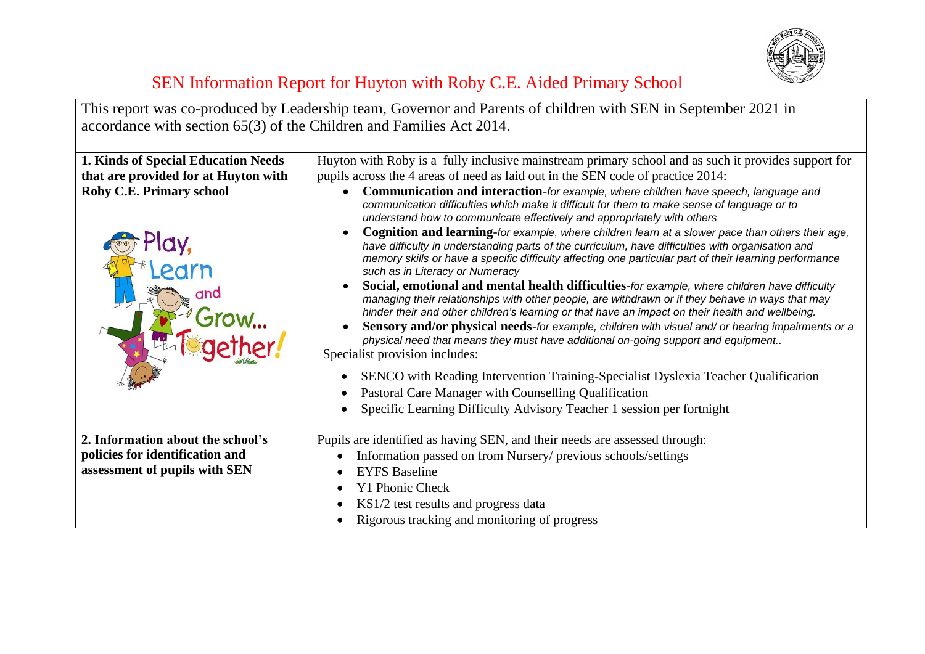

This report was co-produced by Leadership team, Governor and Parents of children with SEN in September 2021 in accordance with section 65(3) of the Children and Families Act 2014.

| <b>1. Kinds of Special Education Needs</b> | Huyton with Roby is a fully inclusive mainstream primary school and as such it provides support for                                                                                                                                                                                                                                                 |
|--------------------------------------------|-----------------------------------------------------------------------------------------------------------------------------------------------------------------------------------------------------------------------------------------------------------------------------------------------------------------------------------------------------|
| that are provided for at Huyton with       | pupils across the 4 areas of need as laid out in the SEN code of practice 2014:                                                                                                                                                                                                                                                                     |
| Roby C.E. Primary school                   | Communication and interaction-for example, where children have speech, language and<br>communication difficulties which make it difficult for them to make sense of language or to<br>understand how to communicate effectively and appropriately with others                                                                                       |
|                                            | Cognition and learning-for example, where children learn at a slower pace than others their age,<br>have difficulty in understanding parts of the curriculum, have difficulties with organisation and<br>memory skills or have a specific difficulty affecting one particular part of their learning performance<br>such as in Literacy or Numeracy |
|                                            | Social, emotional and mental health difficulties-for example, where children have difficulty<br>managing their relationships with other people, are withdrawn or if they behave in ways that may<br>hinder their and other children's learning or that have an impact on their health and wellbeing.                                                |
|                                            | Sensory and/or physical needs-for example, children with visual and/or hearing impairments or a<br>physical need that means they must have additional on-going support and equipment<br>Specialist provision includes:                                                                                                                              |
|                                            | SENCO with Reading Intervention Training-Specialist Dyslexia Teacher Qualification<br>$\bullet$<br>Pastoral Care Manager with Counselling Qualification                                                                                                                                                                                             |
|                                            | Specific Learning Difficulty Advisory Teacher 1 session per fortnight                                                                                                                                                                                                                                                                               |
| 2. Information about the school's          | Pupils are identified as having SEN, and their needs are assessed through:                                                                                                                                                                                                                                                                          |
| policies for identification and            | Information passed on from Nursery/ previous schools/settings                                                                                                                                                                                                                                                                                       |
| assessment of pupils with SEN              | <b>EYFS Baseline</b>                                                                                                                                                                                                                                                                                                                                |
|                                            | Y1 Phonic Check                                                                                                                                                                                                                                                                                                                                     |
|                                            | KS1/2 test results and progress data                                                                                                                                                                                                                                                                                                                |
|                                            | Rigorous tracking and monitoring of progress                                                                                                                                                                                                                                                                                                        |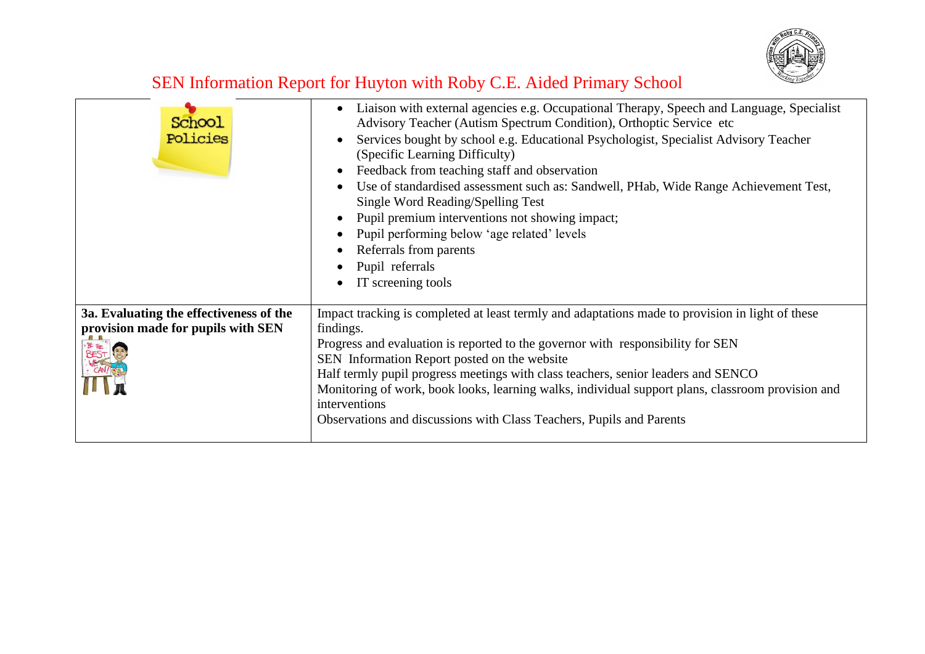

| School<br>Policies                                                                                    | Liaison with external agencies e.g. Occupational Therapy, Speech and Language, Specialist<br>Advisory Teacher (Autism Spectrum Condition), Orthoptic Service etc<br>Services bought by school e.g. Educational Psychologist, Specialist Advisory Teacher<br>(Specific Learning Difficulty)<br>Feedback from teaching staff and observation<br>Use of standardised assessment such as: Sandwell, PHab, Wide Range Achievement Test,<br>Single Word Reading/Spelling Test<br>Pupil premium interventions not showing impact;<br>Pupil performing below 'age related' levels<br>Referrals from parents<br>Pupil referrals<br>IT screening tools |
|-------------------------------------------------------------------------------------------------------|----------------------------------------------------------------------------------------------------------------------------------------------------------------------------------------------------------------------------------------------------------------------------------------------------------------------------------------------------------------------------------------------------------------------------------------------------------------------------------------------------------------------------------------------------------------------------------------------------------------------------------------------|
| 3a. Evaluating the effectiveness of the<br>provision made for pupils with SEN<br><b>BEST RESERVED</b> | Impact tracking is completed at least termly and adaptations made to provision in light of these<br>findings.<br>Progress and evaluation is reported to the governor with responsibility for SEN<br>SEN Information Report posted on the website<br>Half termly pupil progress meetings with class teachers, senior leaders and SENCO<br>Monitoring of work, book looks, learning walks, individual support plans, classroom provision and<br>interventions<br>Observations and discussions with Class Teachers, Pupils and Parents                                                                                                          |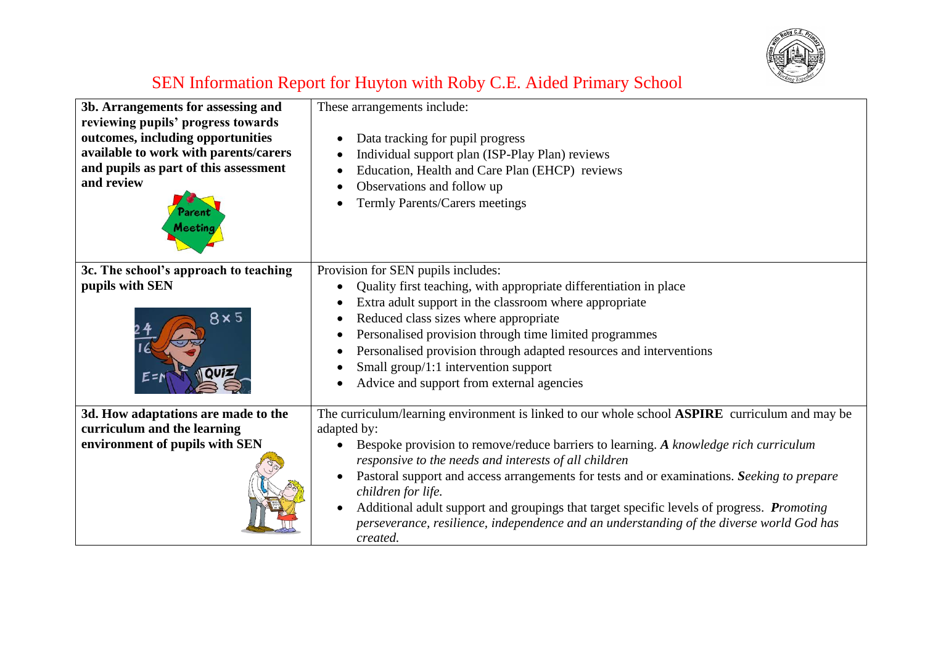

| 3b. Arrangements for assessing and<br>reviewing pupils' progress towards<br>outcomes, including opportunities<br>available to work with parents/carers<br>and pupils as part of this assessment<br>and review<br><b>Aeetinc</b> | These arrangements include:<br>Data tracking for pupil progress<br>Individual support plan (ISP-Play Plan) reviews<br>Education, Health and Care Plan (EHCP) reviews<br>Observations and follow up<br>$\bullet$<br>Termly Parents/Carers meetings                                                                                                                                                                                                                                                                                                                                                     |
|---------------------------------------------------------------------------------------------------------------------------------------------------------------------------------------------------------------------------------|-------------------------------------------------------------------------------------------------------------------------------------------------------------------------------------------------------------------------------------------------------------------------------------------------------------------------------------------------------------------------------------------------------------------------------------------------------------------------------------------------------------------------------------------------------------------------------------------------------|
| 3c. The school's approach to teaching<br>pupils with SEN<br>8 x 5                                                                                                                                                               | Provision for SEN pupils includes:<br>Quality first teaching, with appropriate differentiation in place<br>Extra adult support in the classroom where appropriate<br>$\bullet$<br>Reduced class sizes where appropriate<br>Personalised provision through time limited programmes<br>Personalised provision through adapted resources and interventions<br>$\bullet$<br>Small group/1:1 intervention support<br>Advice and support from external agencies                                                                                                                                             |
| 3d. How adaptations are made to the<br>curriculum and the learning<br>environment of pupils with SEN                                                                                                                            | The curriculum/learning environment is linked to our whole school <b>ASPIRE</b> curriculum and may be<br>adapted by:<br>Bespoke provision to remove/reduce barriers to learning. A knowledge rich curriculum<br>responsive to the needs and interests of all children<br>Pastoral support and access arrangements for tests and or examinations. Seeking to prepare<br>children for life.<br>Additional adult support and groupings that target specific levels of progress. <i>Promoting</i><br>perseverance, resilience, independence and an understanding of the diverse world God has<br>created. |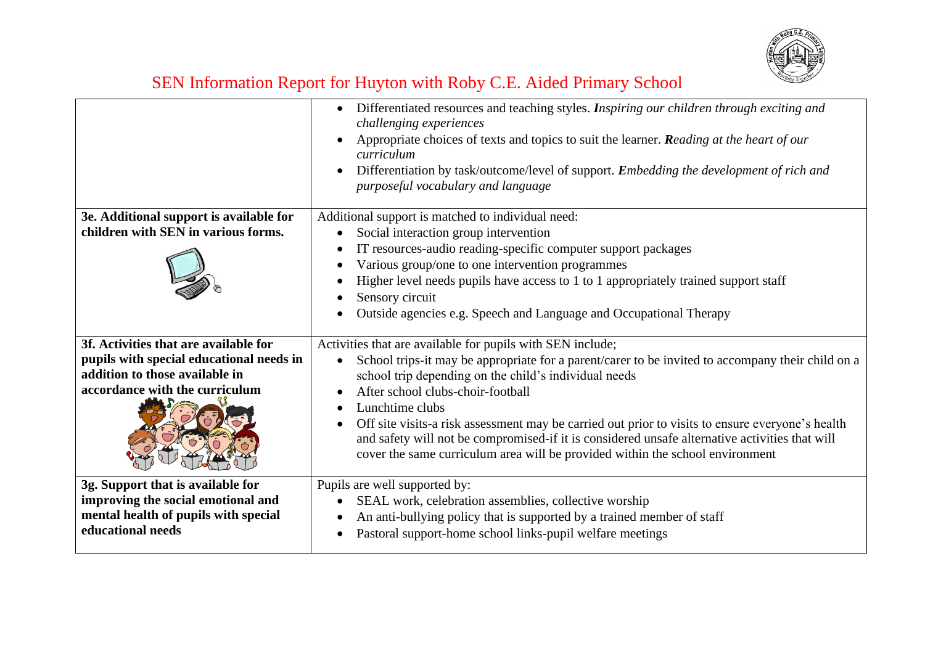

| Differentiated resources and teaching styles. Inspiring our children through exciting and<br>$\bullet$<br>challenging experiences<br>Appropriate choices of texts and topics to suit the learner. Reading at the heart of our<br>curriculum<br>Differentiation by task/outcome/level of support. Embedding the development of rich and<br>purposeful vocabulary and language |
|------------------------------------------------------------------------------------------------------------------------------------------------------------------------------------------------------------------------------------------------------------------------------------------------------------------------------------------------------------------------------|
| Additional support is matched to individual need:                                                                                                                                                                                                                                                                                                                            |
| Social interaction group intervention<br>IT resources-audio reading-specific computer support packages                                                                                                                                                                                                                                                                       |
| Various group/one to one intervention programmes                                                                                                                                                                                                                                                                                                                             |
| Higher level needs pupils have access to 1 to 1 appropriately trained support staff<br>Sensory circuit<br>Outside agencies e.g. Speech and Language and Occupational Therapy                                                                                                                                                                                                 |
| Activities that are available for pupils with SEN include;                                                                                                                                                                                                                                                                                                                   |
| School trips-it may be appropriate for a parent/carer to be invited to accompany their child on a<br>school trip depending on the child's individual needs                                                                                                                                                                                                                   |
| After school clubs-choir-football                                                                                                                                                                                                                                                                                                                                            |
| Lunchtime clubs<br>Off site visits-a risk assessment may be carried out prior to visits to ensure everyone's health<br>$\bullet$<br>and safety will not be compromised-if it is considered unsafe alternative activities that will<br>cover the same curriculum area will be provided within the school environment                                                          |
| Pupils are well supported by:                                                                                                                                                                                                                                                                                                                                                |
| SEAL work, celebration assemblies, collective worship                                                                                                                                                                                                                                                                                                                        |
| An anti-bullying policy that is supported by a trained member of staff<br>Pastoral support-home school links-pupil welfare meetings                                                                                                                                                                                                                                          |
|                                                                                                                                                                                                                                                                                                                                                                              |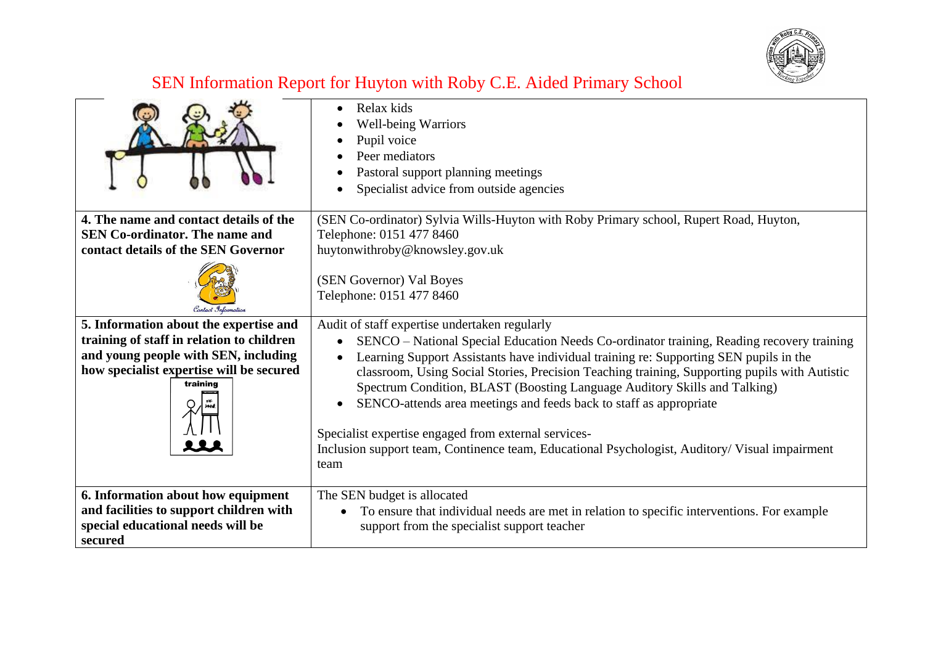

|                                                      | Relax kids<br><b>Well-being Warriors</b><br>Pupil voice<br>Peer mediators<br>Pastoral support planning meetings<br>Specialist advice from outside agencies                                                                                                                                                                                                                                                         |
|------------------------------------------------------|--------------------------------------------------------------------------------------------------------------------------------------------------------------------------------------------------------------------------------------------------------------------------------------------------------------------------------------------------------------------------------------------------------------------|
| 4. The name and contact details of the               | (SEN Co-ordinator) Sylvia Wills-Huyton with Roby Primary school, Rupert Road, Huyton,                                                                                                                                                                                                                                                                                                                              |
| <b>SEN Co-ordinator. The name and</b>                | Telephone: 0151 477 8460                                                                                                                                                                                                                                                                                                                                                                                           |
| contact details of the SEN Governor                  | huytonwithroby@knowsley.gov.uk                                                                                                                                                                                                                                                                                                                                                                                     |
|                                                      | (SEN Governor) Val Boyes<br>Telephone: 0151 477 8460                                                                                                                                                                                                                                                                                                                                                               |
| 5. Information about the expertise and               | Audit of staff expertise undertaken regularly                                                                                                                                                                                                                                                                                                                                                                      |
| training of staff in relation to children            | SENCO – National Special Education Needs Co-ordinator training, Reading recovery training                                                                                                                                                                                                                                                                                                                          |
| and young people with SEN, including                 | Learning Support Assistants have individual training re: Supporting SEN pupils in the                                                                                                                                                                                                                                                                                                                              |
| how specialist expertise will be secured<br>training | classroom, Using Social Stories, Precision Teaching training, Supporting pupils with Autistic<br>Spectrum Condition, BLAST (Boosting Language Auditory Skills and Talking)<br>SENCO-attends area meetings and feeds back to staff as appropriate<br>Specialist expertise engaged from external services-<br>Inclusion support team, Continence team, Educational Psychologist, Auditory/ Visual impairment<br>team |
| 6. Information about how equipment                   | The SEN budget is allocated                                                                                                                                                                                                                                                                                                                                                                                        |
| and facilities to support children with              | To ensure that individual needs are met in relation to specific interventions. For example<br>$\bullet$                                                                                                                                                                                                                                                                                                            |
| special educational needs will be                    | support from the specialist support teacher                                                                                                                                                                                                                                                                                                                                                                        |
| secured                                              |                                                                                                                                                                                                                                                                                                                                                                                                                    |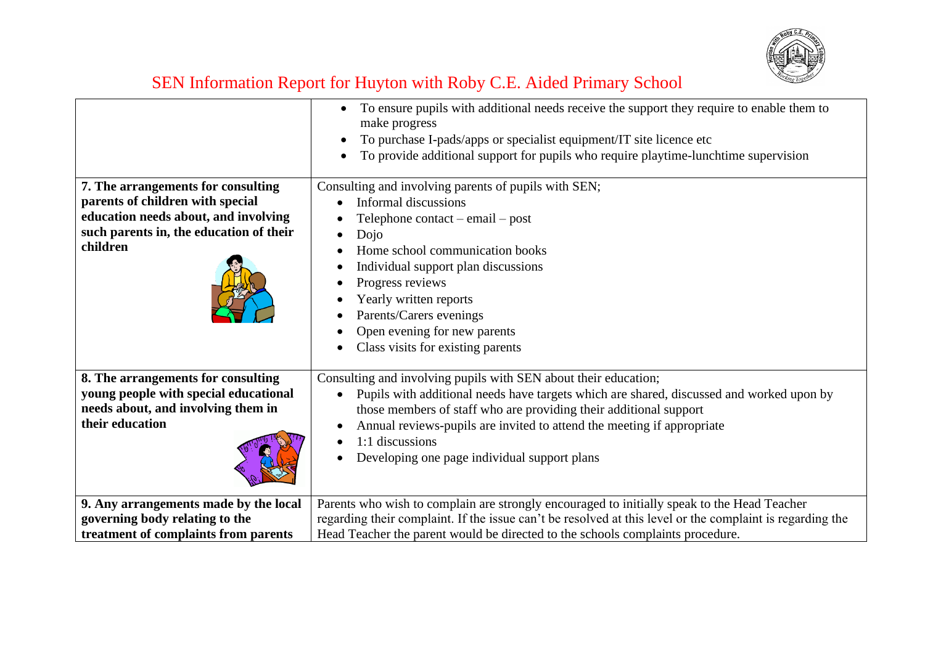

|                                                                                                                                                                       | To ensure pupils with additional needs receive the support they require to enable them to<br>make progress<br>To purchase I-pads/apps or specialist equipment/IT site licence etc<br>To provide additional support for pupils who require playtime-lunchtime supervision                                                                                                      |
|-----------------------------------------------------------------------------------------------------------------------------------------------------------------------|-------------------------------------------------------------------------------------------------------------------------------------------------------------------------------------------------------------------------------------------------------------------------------------------------------------------------------------------------------------------------------|
| 7. The arrangements for consulting<br>parents of children with special<br>education needs about, and involving<br>such parents in, the education of their<br>children | Consulting and involving parents of pupils with SEN;<br>Informal discussions<br>$\bullet$<br>Telephone contact $-$ email $-$ post<br>Dojo<br>Home school communication books<br>Individual support plan discussions<br>Progress reviews<br>Yearly written reports<br>Parents/Carers evenings<br>Open evening for new parents<br>Class visits for existing parents             |
| 8. The arrangements for consulting<br>young people with special educational<br>needs about, and involving them in<br>their education                                  | Consulting and involving pupils with SEN about their education;<br>Pupils with additional needs have targets which are shared, discussed and worked upon by<br>those members of staff who are providing their additional support<br>Annual reviews-pupils are invited to attend the meeting if appropriate<br>1:1 discussions<br>Developing one page individual support plans |
| 9. Any arrangements made by the local<br>governing body relating to the<br>treatment of complaints from parents                                                       | Parents who wish to complain are strongly encouraged to initially speak to the Head Teacher<br>regarding their complaint. If the issue can't be resolved at this level or the complaint is regarding the<br>Head Teacher the parent would be directed to the schools complaints procedure.                                                                                    |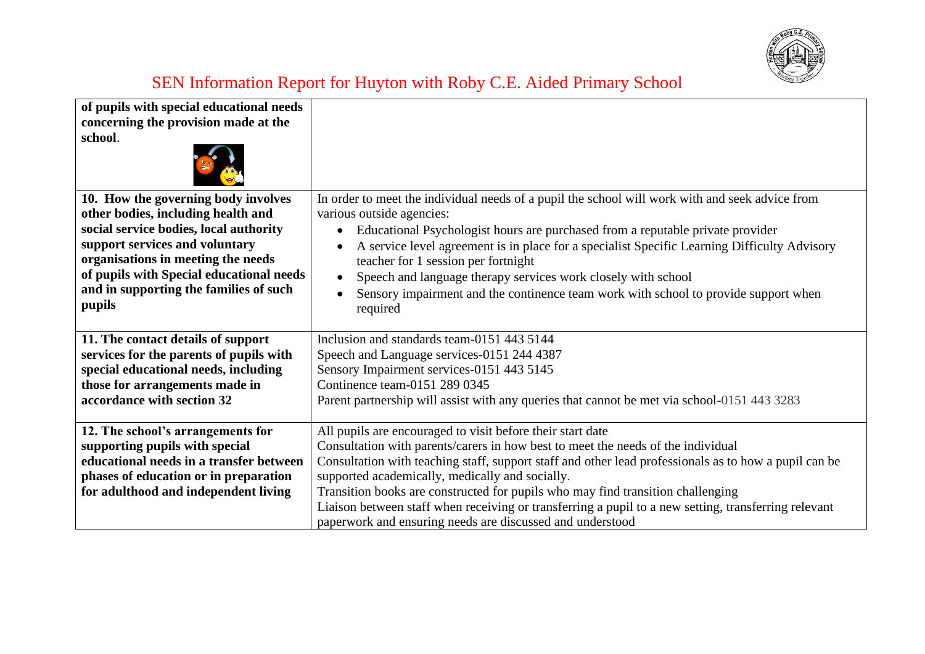

| of pupils with special educational needs<br>concerning the provision made at the<br>school.                                                                                                                                                                                                 |                                                                                                                                                                                                                                                                                                                                                                                                                                                                                                                                                                    |
|---------------------------------------------------------------------------------------------------------------------------------------------------------------------------------------------------------------------------------------------------------------------------------------------|--------------------------------------------------------------------------------------------------------------------------------------------------------------------------------------------------------------------------------------------------------------------------------------------------------------------------------------------------------------------------------------------------------------------------------------------------------------------------------------------------------------------------------------------------------------------|
| 10. How the governing body involves<br>other bodies, including health and<br>social service bodies, local authority<br>support services and voluntary<br>organisations in meeting the needs<br>of pupils with Special educational needs<br>and in supporting the families of such<br>pupils | In order to meet the individual needs of a pupil the school will work with and seek advice from<br>various outside agencies:<br>Educational Psychologist hours are purchased from a reputable private provider<br>$\bullet$<br>A service level agreement is in place for a specialist Specific Learning Difficulty Advisory<br>teacher for 1 session per fortnight<br>Speech and language therapy services work closely with school<br>Sensory impairment and the continence team work with school to provide support when<br>required                             |
| 11. The contact details of support<br>services for the parents of pupils with<br>special educational needs, including<br>those for arrangements made in<br>accordance with section 32                                                                                                       | Inclusion and standards team-0151 443 5144<br>Speech and Language services-0151 244 4387<br>Sensory Impairment services-0151 443 5145<br>Continence team-0151 289 0345<br>Parent partnership will assist with any queries that cannot be met via school-0151 443 3283                                                                                                                                                                                                                                                                                              |
| 12. The school's arrangements for<br>supporting pupils with special<br>educational needs in a transfer between<br>phases of education or in preparation<br>for adulthood and independent living                                                                                             | All pupils are encouraged to visit before their start date<br>Consultation with parents/carers in how best to meet the needs of the individual<br>Consultation with teaching staff, support staff and other lead professionals as to how a pupil can be<br>supported academically, medically and socially.<br>Transition books are constructed for pupils who may find transition challenging<br>Liaison between staff when receiving or transferring a pupil to a new setting, transferring relevant<br>paperwork and ensuring needs are discussed and understood |